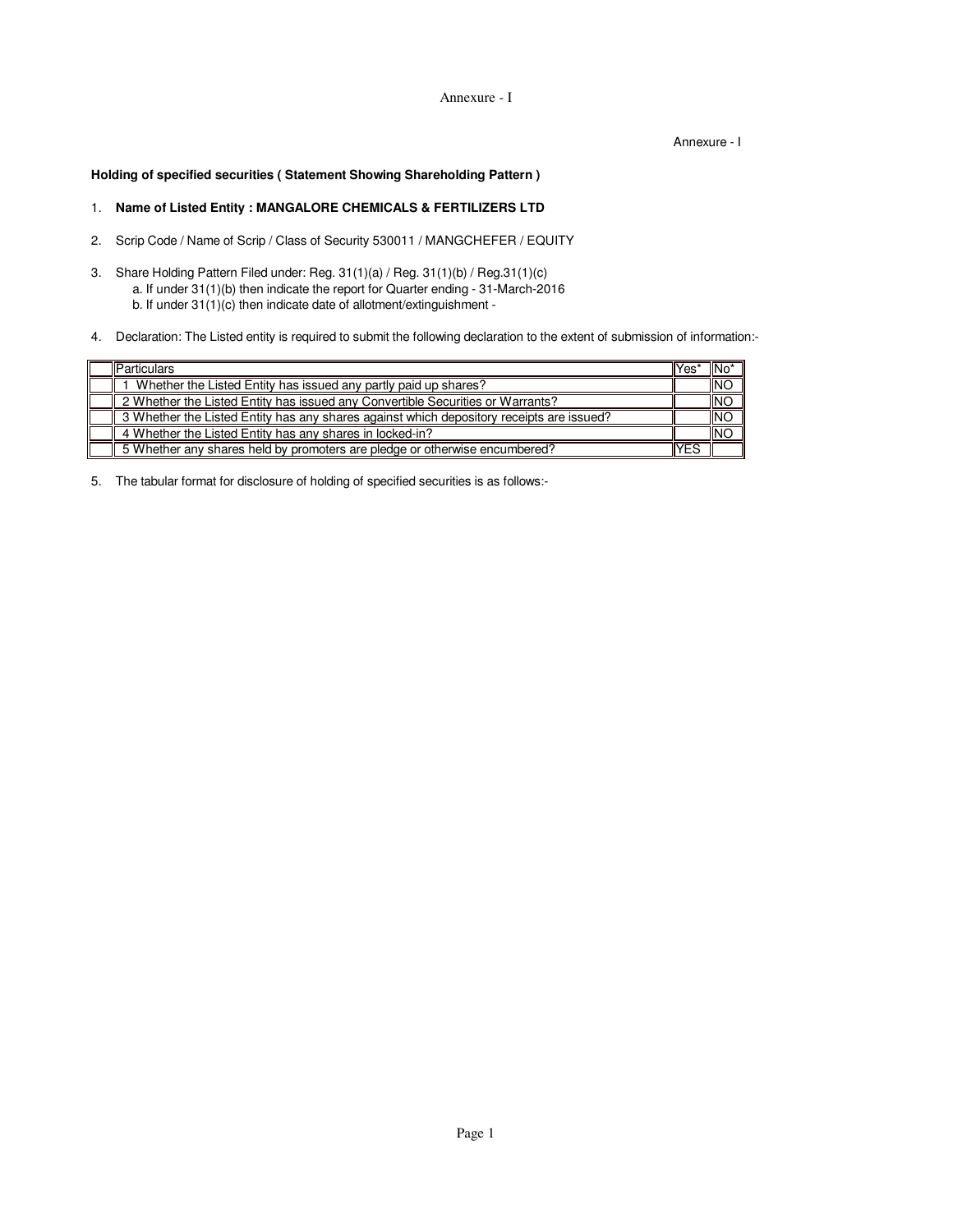Annexure - I

Annexure - I

**Holding of specified securities ( Statement Showing Shareholding Pattern )**

# 1. **Name of Listed Entity : MANGALORE CHEMICALS & FERTILIZERS LTD**

- 2. Scrip Code / Name of Scrip / Class of Security 530011 / MANGCHEFER / EQUITY
- 3. Share Holding Pattern Filed under: Reg. 31(1)(a) / Reg. 31(1)(b) / Reg.31(1)(c) a. If under 31(1)(b) then indicate the report for Quarter ending - 31-March-2016 b. If under 31(1)(c) then indicate date of allotment/extinguishment -
- 4. Declaration: The Listed entity is required to submit the following declaration to the extent of submission of information:-

| <b>Particulars</b>                                                                       | Yes | "INo       |
|------------------------------------------------------------------------------------------|-----|------------|
| Whether the Listed Entity has issued any partly paid up shares?                          |     | <b>INO</b> |
| 2 Whether the Listed Entity has issued any Convertible Securities or Warrants?           |     | <b>NO</b>  |
| 3 Whether the Listed Entity has any shares against which depository receipts are issued? |     | <b>INO</b> |
| 4 Whether the Listed Entity has any shares in locked-in?                                 |     | <b>INC</b> |
| 5 Whether any shares held by promoters are pledge or otherwise encumbered?               | YES |            |

5. The tabular format for disclosure of holding of specified securities is as follows:-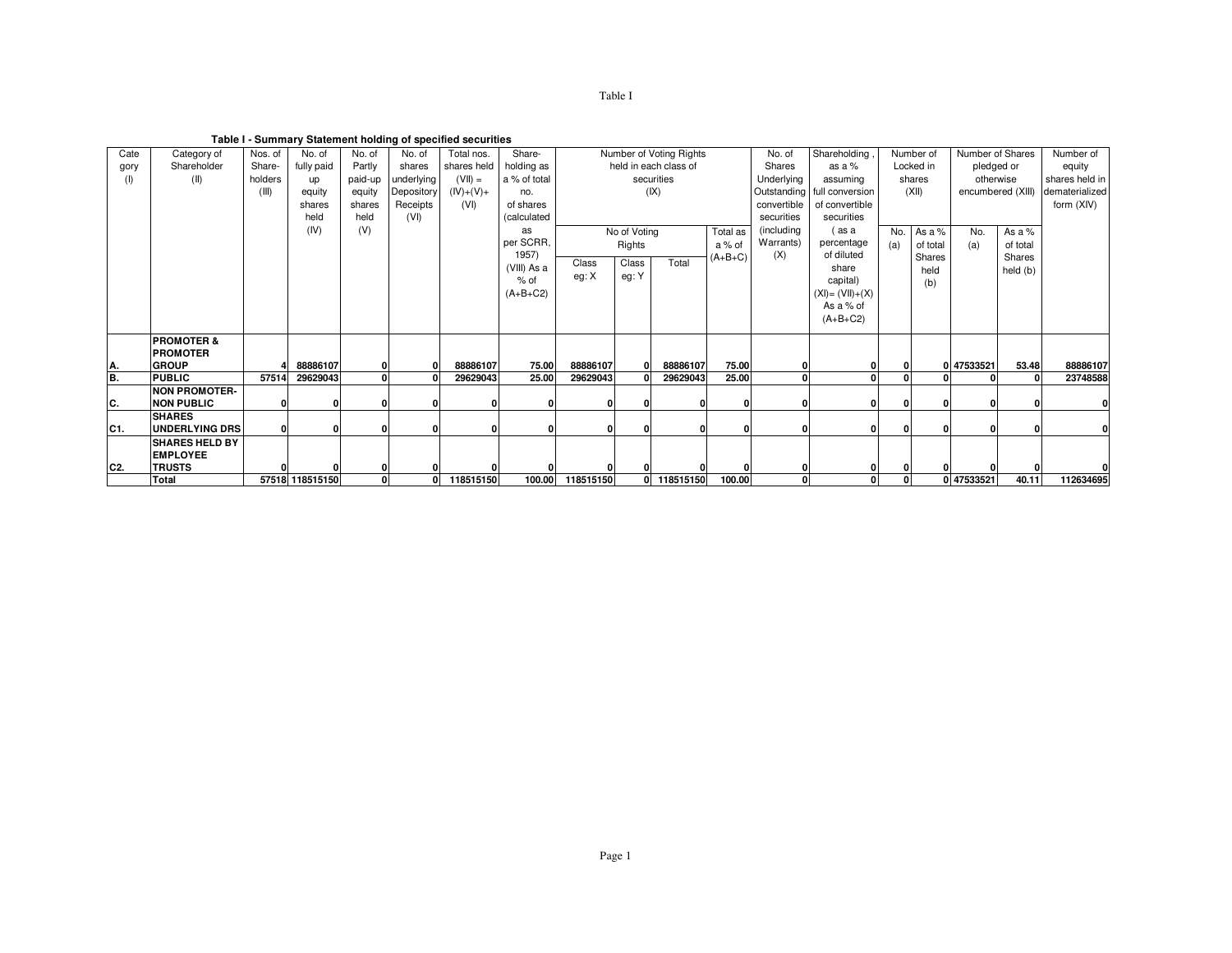| o<br>σı |  |
|---------|--|
|         |  |

**Table I - Summary Statement holding of specified securities**

| Cate            | Category of           | Nos. of  | No. of          | No. of       | No. of       | Total nos.  | Share-       | Number of Voting Rights |                  |                       |           | No. of                   | Shareholding                | Number of |          | Number of Shares  |            | Number of      |
|-----------------|-----------------------|----------|-----------------|--------------|--------------|-------------|--------------|-------------------------|------------------|-----------------------|-----------|--------------------------|-----------------------------|-----------|----------|-------------------|------------|----------------|
| gory            | Shareholder           | Share-   | fully paid      | Partly       | shares       | shares held | holding as   |                         |                  | held in each class of |           | Shares                   | as a $%$                    | Locked in |          | pledged or        |            | equity         |
| (1)             | (II)                  | holders  | <b>up</b>       | paid-up      | underlying   | $(VII) =$   | a % of total |                         |                  | securities            |           | Underlying               | assuming                    | shares    |          | otherwise         |            | shares held in |
|                 |                       | (III)    | equity          | equity       | Depository   | $(IV)+(V)$  | no.          |                         |                  | (IX)                  |           |                          | Outstanding full conversion | (XII)     |          | encumbered (XIII) |            | dematerialized |
|                 |                       |          | shares          | shares       | Receipts     | (VI)        | of shares    |                         |                  |                       |           | convertible              |                             |           |          |                   | form (XIV) |                |
|                 |                       |          | held            | held         | (VI)         |             | (calculated  |                         |                  |                       |           | securities<br>securities |                             |           |          |                   |            |                |
|                 |                       |          | (IV)            | (V)          |              |             | as           | No of Voting            |                  |                       | Total as  | (including               | (as a                       | No.       | As a %   | No.               | As a %     |                |
|                 |                       |          |                 |              |              |             | per SCRR,    |                         | a % of<br>Rights |                       |           | Warrants)                | percentage                  | (a)       | of total | (a)               | of total   |                |
|                 |                       |          |                 |              |              |             | 1957)        | Class                   | Class            | Total                 | $(A+B+C)$ | (X)                      | of diluted                  |           | Shares   |                   | Shares     |                |
|                 |                       |          |                 |              |              |             | (VIII) As a  | eg: X                   | eg: Y            |                       |           |                          | share                       |           | held     |                   | held (b)   |                |
|                 |                       |          |                 |              |              |             | $%$ of       |                         |                  |                       |           |                          | capital)                    |           | (b)      |                   |            |                |
|                 |                       |          |                 |              |              |             | $(A+B+C2)$   |                         |                  |                       |           |                          | $(XI) = (VII) + (X)$        |           |          |                   |            |                |
|                 |                       |          |                 |              |              |             |              |                         |                  |                       |           |                          | As a % of                   |           |          |                   |            |                |
|                 |                       |          |                 |              |              |             |              |                         |                  |                       |           |                          | $(A+B+C2)$                  |           |          |                   |            |                |
|                 | <b>PROMOTER &amp;</b> |          |                 |              |              |             |              |                         |                  |                       |           |                          |                             |           |          |                   |            |                |
|                 | <b>PROMOTER</b>       |          |                 |              |              |             |              |                         |                  |                       |           |                          |                             |           |          |                   |            |                |
| A.              | <b>GROUP</b>          |          | 88886107        | $\mathbf{0}$ | O            | 88886107    | 75.00        | 88886107                | 0                | 88886107              | 75.00     |                          | 0                           | 0         |          | 0 47533521        | 53.48      | 88886107       |
| B.              | <b>PUBLIC</b>         | 57514    | 29629043        | $\Omega$     |              | 29629043    | 25.00        | 29629043                |                  | 29629043              | 25.00     |                          |                             |           |          |                   |            | 23748588       |
|                 | <b>NON PROMOTER-</b>  |          |                 |              |              |             |              |                         |                  |                       |           |                          |                             |           |          |                   |            |                |
| C.              | <b>NON PUBLIC</b>     | $\Omega$ | 0               | $\Omega$     |              |             |              |                         | n                | $\mathbf{0}$          |           |                          | 0                           | n         |          |                   |            |                |
|                 | <b>SHARES</b>         |          |                 |              |              |             |              |                         |                  |                       |           |                          |                             |           |          |                   |            |                |
| IC1.            | <b>UNDERLYING DRS</b> | 0.       | 0               | 0            |              |             | ΩI           |                         | O                | $\mathbf{0}$          | 0         |                          | 0                           | $\Omega$  |          |                   | n          | $\Omega$       |
|                 | <b>SHARES HELD BY</b> |          |                 |              |              |             |              |                         |                  |                       |           |                          |                             |           |          |                   |            |                |
|                 | <b>EMPLOYEE</b>       |          |                 |              |              |             |              |                         |                  |                       |           |                          |                             |           |          |                   |            |                |
| IC <sub>2</sub> | <b>TRUSTS</b>         |          |                 | 0            |              |             |              |                         |                  | $\mathbf{0}$          |           |                          | 0                           | 01        |          |                   |            |                |
|                 | Total                 |          | 57518 118515150 | $\mathbf{0}$ | $\mathbf{0}$ | 118515150   | 100.00       | 118515150               |                  | 0 118515150           | 100.00    | 0                        | 0                           | 0         |          | 0 47533521        | 40.11      | 112634695      |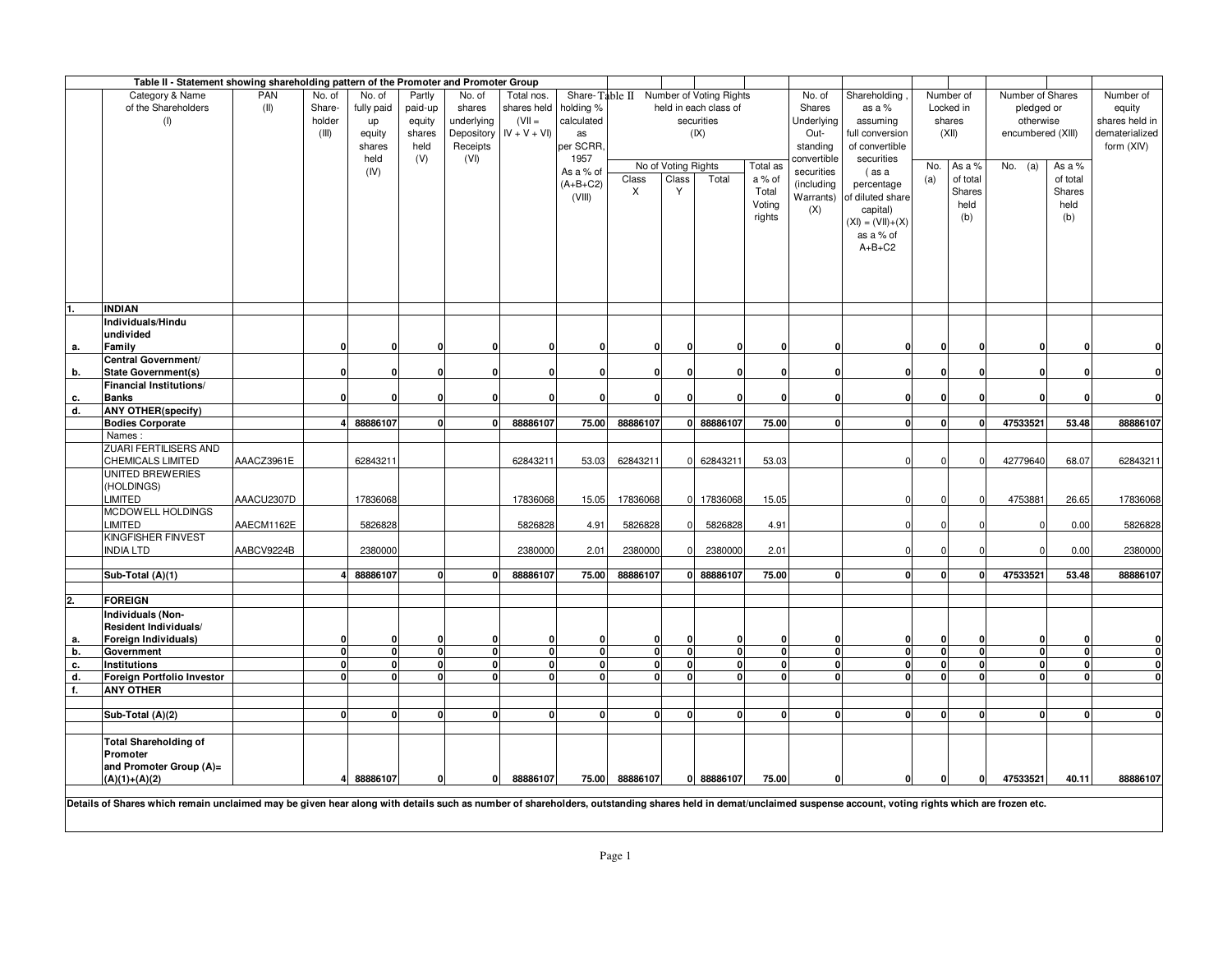| PAN<br>Share-Table II Number of Voting Rights<br>Category & Name<br>No. of<br>No. of<br>Partly<br>No. of<br>Total nos.<br>No. of<br>Shareholding<br>Number of<br>Number of Shares<br>Number of<br>of the Shareholders<br>Share-<br>shares held<br>holding %<br>held in each class of<br>(II)<br>fully paid<br>paid-up<br>shares<br>Shares<br>as a %<br>Locked in<br>pledged or<br>equity<br>$(VII =$<br>calculated<br>holder<br>underlying<br>securities<br>Underlying<br>shares held in<br>(I)<br>equity<br>assuming<br>shares<br>otherwise<br>up<br>$IV + V + VI$<br>(III)<br>equity<br>shares<br>Depository<br>(IX)<br>Out-<br>(XII)<br>encumbered (XIII)<br>dematerialized<br>as<br>full conversion<br>per SCRR,<br>held<br>Receipts<br>of convertible<br>form (XIV)<br>shares<br>standing<br>held<br>(V)<br>(VI)<br>1957<br>convertible<br>securities<br>No of Voting Rights<br>Total as<br>No.<br>As a %<br>No. $(a)$<br>As a %<br>As a % of<br>(IV)<br>securities<br>(as a<br>Class<br>Total<br>a % of<br>(a)<br>of total<br>of total<br>Class<br>$(A+B+C2)$<br>(including<br>percentage<br>X<br>Υ<br>Total<br>Shares<br>Shares<br>(VIII)<br>Warrants) of diluted share<br>Voting<br>held<br>held<br>(X)<br>capital)<br>rights<br>(b)<br>(b)<br>$(XI) = (VII) + (X)$<br>as a % of<br>$A+B+C2$<br><b>INDIAN</b><br>Individuals/Hindu<br>undivided<br>Family<br>$\mathbf{0}$<br>$\mathbf 0$<br>$\mathbf{0}$<br>0<br>0<br>0<br>0<br>0<br>$\mathbf{0}$<br>0<br>O<br>n<br>$\mathbf{0}$<br>0<br>а.<br>0<br>ŋ<br>Central Government/<br><b>State Government(s)</b><br><b>n</b><br>$\Omega$<br>$\mathbf{0}$<br>$\mathbf{0}$<br>$\Omega$<br>0.<br>$\Omega$<br>$\Omega$<br>$\Omega$<br>$\Omega$<br>$\mathbf{0}$<br>U<br>U<br>U<br>$\Omega$<br>$\Omega$<br>b.<br>Financial Institutions/<br>$\mathbf{0}$<br>$\mathbf{0}$<br><b>Banks</b><br>O<br>$\Omega$<br>$\mathbf{0}$<br>$\Omega$<br>$\Omega$<br>c.<br>n<br>O<br>$\Omega$<br>n<br>$\Omega$<br>d.<br><b>ANY OTHER(specify)</b><br>88886107<br>47533521<br>$\mathbf 0$<br>88886107<br>75.00<br>88886107<br>0 88886107<br>75.00<br>$\mathbf{0}$<br>53.48<br>88886107<br><b>Bodies Corporate</b><br>o١<br>$\mathbf{0}$<br>O<br>$\mathbf{0}$<br>Names:<br>ZUARI FERTILISERS AND<br>AAACZ3961E<br>CHEMICALS LIMITED<br>62843211<br>62843211<br>62843211<br>62843211<br>53.03<br>42779640<br>68.07<br>62843211<br>53.03<br>UNITED BREWERIES<br>(HOLDINGS)<br>AAACU2307D<br>4753881<br>LIMITED<br>17836068<br>17836068<br>15.05<br>17836068<br>17836068<br>15.05<br>26.65<br>17836068<br>$\Omega$<br>n<br>$\Omega$<br>MCDOWELL HOLDINGS<br>LIMITED<br>AAECM1162E<br>5826828<br>5826828<br>4.91<br>5826828<br>5826828<br>4.91<br>0.00<br>5826828<br>$\Omega$<br>KINGFISHER FINVEST<br>AABCV9224B<br><b>INDIA LTD</b><br>2380000<br>2.01<br>2380000<br>2380000<br>2.01<br>2380000<br>2380000<br>$\Omega$<br>0.00<br>$\Omega$<br>88886107<br>88886107<br>75.00<br>88886107<br>0 88886107<br>75.00<br>47533521<br>53.48<br>88886107<br>Sub-Total (A)(1)<br>$\mathbf{0}$<br>$\mathbf 0$<br>0<br>$\mathbf{0}$<br>$\mathbf{0}$<br>0<br><b>FOREIGN</b><br>Individuals (Non-<br>Resident Individuals/<br>Foreign Individuals)<br>0<br>$\Omega$<br>$\Omega$<br>0<br>O<br>$\Omega$<br>$\mathbf{0}$<br>0<br>O<br>O<br>$\bf{0}$<br>0<br>0<br>а.<br>$\mathbf{0}$<br>$\mathbf{0}$<br>$\mathbf 0$<br>$\mathbf 0$<br>$\mathbf 0$<br>Government<br>$\mathbf 0$<br>0<br>0<br>$\mathbf{0}$<br>$\mathbf{0}$<br>$\mathbf{0}$<br>$\mathbf{0}$<br>0<br>$\mathbf{0}$<br>$\mathbf{0}$<br>$\mathbf 0$<br>$\mathbf{0}$<br>b.<br>$\mathbf{0}$<br>$\mathbf 0$<br>$\mathbf{0}$<br>$\mathbf 0$<br>$\mathbf{0}$<br>$\mathbf 0$<br>$\mathbf 0$<br>$\mathbf 0$<br>$\mathbf{0}$<br>$\mathbf{0}$<br>$\mathbf{0}$<br>$\mathbf{0}$<br>$\mathbf{0}$<br>$\Omega$<br>0<br>с.<br>Institutions<br>$\Omega$<br>O<br>$\mathbf 0$<br>d.<br>Foreign Portfolio Investor<br>$\mathbf{0}$<br>$\mathbf{0}$<br>$\mathbf{0}$<br><sub>0</sub><br>$\mathbf 0$<br>$\Omega$<br>$\mathbf{0}$<br>$\Omega$<br>$\Omega$<br>$\mathbf{0}$<br>$\Omega$<br>$\mathbf{0}$<br>n١<br>$\mathbf{0}$<br><sup>0</sup><br>n<br>f.<br><b>ANY OTHER</b><br>Sub-Total (A)(2)<br>$\mathbf{0}$<br>$\mathbf{0}$<br>$\Omega$<br>0<br>$\Omega$<br>$\mathbf{0}$<br>$\Omega$<br>$\mathbf{0}$<br>$\Omega$<br>$\mathbf{0}$<br>$\mathbf{0}$<br>0<br>0l<br>$\Omega$<br>$\mathbf{0}$<br>0<br>O<br><b>Total Shareholding of</b><br>Promoter |    | Table II - Statement showing shareholding pattern of the Promoter and Promoter Group |  |  |  |  |  |  |  |  |  |  |  |  |
|------------------------------------------------------------------------------------------------------------------------------------------------------------------------------------------------------------------------------------------------------------------------------------------------------------------------------------------------------------------------------------------------------------------------------------------------------------------------------------------------------------------------------------------------------------------------------------------------------------------------------------------------------------------------------------------------------------------------------------------------------------------------------------------------------------------------------------------------------------------------------------------------------------------------------------------------------------------------------------------------------------------------------------------------------------------------------------------------------------------------------------------------------------------------------------------------------------------------------------------------------------------------------------------------------------------------------------------------------------------------------------------------------------------------------------------------------------------------------------------------------------------------------------------------------------------------------------------------------------------------------------------------------------------------------------------------------------------------------------------------------------------------------------------------------------------------------------------------------------------------------------------------------------------------------------------------------------------------------------------------------------------------------------------------------------------------------------------------------------------------------------------------------------------------------------------------------------------------------------------------------------------------------------------------------------------------------------------------------------------------------------------------------------------------------------------------------------------------------------------------------------------------------------------------------------------------------------------------------------------------------------------------------------------------------------------------------------------------------------------------------------------------------------------------------------------------------------------------------------------------------------------------------------------------------------------------------------------------------------------------------------------------------------------------------------------------------------------------------------------------------------------------------------------------------------------------------------------------------------------------------------------------------------------------------------------------------------------------------------------------------------------------------------------------------------------------------------------------------------------------------------------------------------------------------------------------------------------------------------------------------------------------------------------------------------------------------------------------------------------------------------------------------------------------------------------------------------------------------------------------------------------------------------------------------------------------------------------------------------------------------------------------------------------------------------------------------------------------------------------------------------------------------------------------------------------------------------------------------------------------------------------------------------------------------------------------------------------------------------------------------------------|----|--------------------------------------------------------------------------------------|--|--|--|--|--|--|--|--|--|--|--|--|
|                                                                                                                                                                                                                                                                                                                                                                                                                                                                                                                                                                                                                                                                                                                                                                                                                                                                                                                                                                                                                                                                                                                                                                                                                                                                                                                                                                                                                                                                                                                                                                                                                                                                                                                                                                                                                                                                                                                                                                                                                                                                                                                                                                                                                                                                                                                                                                                                                                                                                                                                                                                                                                                                                                                                                                                                                                                                                                                                                                                                                                                                                                                                                                                                                                                                                                                                                                                                                                                                                                                                                                                                                                                                                                                                                                                                                                                                                                                                                                                                                                                                                                                                                                                                                                                                                                                                                                                          |    |                                                                                      |  |  |  |  |  |  |  |  |  |  |  |  |
|                                                                                                                                                                                                                                                                                                                                                                                                                                                                                                                                                                                                                                                                                                                                                                                                                                                                                                                                                                                                                                                                                                                                                                                                                                                                                                                                                                                                                                                                                                                                                                                                                                                                                                                                                                                                                                                                                                                                                                                                                                                                                                                                                                                                                                                                                                                                                                                                                                                                                                                                                                                                                                                                                                                                                                                                                                                                                                                                                                                                                                                                                                                                                                                                                                                                                                                                                                                                                                                                                                                                                                                                                                                                                                                                                                                                                                                                                                                                                                                                                                                                                                                                                                                                                                                                                                                                                                                          |    |                                                                                      |  |  |  |  |  |  |  |  |  |  |  |  |
|                                                                                                                                                                                                                                                                                                                                                                                                                                                                                                                                                                                                                                                                                                                                                                                                                                                                                                                                                                                                                                                                                                                                                                                                                                                                                                                                                                                                                                                                                                                                                                                                                                                                                                                                                                                                                                                                                                                                                                                                                                                                                                                                                                                                                                                                                                                                                                                                                                                                                                                                                                                                                                                                                                                                                                                                                                                                                                                                                                                                                                                                                                                                                                                                                                                                                                                                                                                                                                                                                                                                                                                                                                                                                                                                                                                                                                                                                                                                                                                                                                                                                                                                                                                                                                                                                                                                                                                          |    |                                                                                      |  |  |  |  |  |  |  |  |  |  |  |  |
|                                                                                                                                                                                                                                                                                                                                                                                                                                                                                                                                                                                                                                                                                                                                                                                                                                                                                                                                                                                                                                                                                                                                                                                                                                                                                                                                                                                                                                                                                                                                                                                                                                                                                                                                                                                                                                                                                                                                                                                                                                                                                                                                                                                                                                                                                                                                                                                                                                                                                                                                                                                                                                                                                                                                                                                                                                                                                                                                                                                                                                                                                                                                                                                                                                                                                                                                                                                                                                                                                                                                                                                                                                                                                                                                                                                                                                                                                                                                                                                                                                                                                                                                                                                                                                                                                                                                                                                          |    |                                                                                      |  |  |  |  |  |  |  |  |  |  |  |  |
|                                                                                                                                                                                                                                                                                                                                                                                                                                                                                                                                                                                                                                                                                                                                                                                                                                                                                                                                                                                                                                                                                                                                                                                                                                                                                                                                                                                                                                                                                                                                                                                                                                                                                                                                                                                                                                                                                                                                                                                                                                                                                                                                                                                                                                                                                                                                                                                                                                                                                                                                                                                                                                                                                                                                                                                                                                                                                                                                                                                                                                                                                                                                                                                                                                                                                                                                                                                                                                                                                                                                                                                                                                                                                                                                                                                                                                                                                                                                                                                                                                                                                                                                                                                                                                                                                                                                                                                          |    |                                                                                      |  |  |  |  |  |  |  |  |  |  |  |  |
|                                                                                                                                                                                                                                                                                                                                                                                                                                                                                                                                                                                                                                                                                                                                                                                                                                                                                                                                                                                                                                                                                                                                                                                                                                                                                                                                                                                                                                                                                                                                                                                                                                                                                                                                                                                                                                                                                                                                                                                                                                                                                                                                                                                                                                                                                                                                                                                                                                                                                                                                                                                                                                                                                                                                                                                                                                                                                                                                                                                                                                                                                                                                                                                                                                                                                                                                                                                                                                                                                                                                                                                                                                                                                                                                                                                                                                                                                                                                                                                                                                                                                                                                                                                                                                                                                                                                                                                          |    |                                                                                      |  |  |  |  |  |  |  |  |  |  |  |  |
|                                                                                                                                                                                                                                                                                                                                                                                                                                                                                                                                                                                                                                                                                                                                                                                                                                                                                                                                                                                                                                                                                                                                                                                                                                                                                                                                                                                                                                                                                                                                                                                                                                                                                                                                                                                                                                                                                                                                                                                                                                                                                                                                                                                                                                                                                                                                                                                                                                                                                                                                                                                                                                                                                                                                                                                                                                                                                                                                                                                                                                                                                                                                                                                                                                                                                                                                                                                                                                                                                                                                                                                                                                                                                                                                                                                                                                                                                                                                                                                                                                                                                                                                                                                                                                                                                                                                                                                          |    |                                                                                      |  |  |  |  |  |  |  |  |  |  |  |  |
|                                                                                                                                                                                                                                                                                                                                                                                                                                                                                                                                                                                                                                                                                                                                                                                                                                                                                                                                                                                                                                                                                                                                                                                                                                                                                                                                                                                                                                                                                                                                                                                                                                                                                                                                                                                                                                                                                                                                                                                                                                                                                                                                                                                                                                                                                                                                                                                                                                                                                                                                                                                                                                                                                                                                                                                                                                                                                                                                                                                                                                                                                                                                                                                                                                                                                                                                                                                                                                                                                                                                                                                                                                                                                                                                                                                                                                                                                                                                                                                                                                                                                                                                                                                                                                                                                                                                                                                          |    |                                                                                      |  |  |  |  |  |  |  |  |  |  |  |  |
|                                                                                                                                                                                                                                                                                                                                                                                                                                                                                                                                                                                                                                                                                                                                                                                                                                                                                                                                                                                                                                                                                                                                                                                                                                                                                                                                                                                                                                                                                                                                                                                                                                                                                                                                                                                                                                                                                                                                                                                                                                                                                                                                                                                                                                                                                                                                                                                                                                                                                                                                                                                                                                                                                                                                                                                                                                                                                                                                                                                                                                                                                                                                                                                                                                                                                                                                                                                                                                                                                                                                                                                                                                                                                                                                                                                                                                                                                                                                                                                                                                                                                                                                                                                                                                                                                                                                                                                          |    |                                                                                      |  |  |  |  |  |  |  |  |  |  |  |  |
|                                                                                                                                                                                                                                                                                                                                                                                                                                                                                                                                                                                                                                                                                                                                                                                                                                                                                                                                                                                                                                                                                                                                                                                                                                                                                                                                                                                                                                                                                                                                                                                                                                                                                                                                                                                                                                                                                                                                                                                                                                                                                                                                                                                                                                                                                                                                                                                                                                                                                                                                                                                                                                                                                                                                                                                                                                                                                                                                                                                                                                                                                                                                                                                                                                                                                                                                                                                                                                                                                                                                                                                                                                                                                                                                                                                                                                                                                                                                                                                                                                                                                                                                                                                                                                                                                                                                                                                          |    |                                                                                      |  |  |  |  |  |  |  |  |  |  |  |  |
|                                                                                                                                                                                                                                                                                                                                                                                                                                                                                                                                                                                                                                                                                                                                                                                                                                                                                                                                                                                                                                                                                                                                                                                                                                                                                                                                                                                                                                                                                                                                                                                                                                                                                                                                                                                                                                                                                                                                                                                                                                                                                                                                                                                                                                                                                                                                                                                                                                                                                                                                                                                                                                                                                                                                                                                                                                                                                                                                                                                                                                                                                                                                                                                                                                                                                                                                                                                                                                                                                                                                                                                                                                                                                                                                                                                                                                                                                                                                                                                                                                                                                                                                                                                                                                                                                                                                                                                          |    |                                                                                      |  |  |  |  |  |  |  |  |  |  |  |  |
|                                                                                                                                                                                                                                                                                                                                                                                                                                                                                                                                                                                                                                                                                                                                                                                                                                                                                                                                                                                                                                                                                                                                                                                                                                                                                                                                                                                                                                                                                                                                                                                                                                                                                                                                                                                                                                                                                                                                                                                                                                                                                                                                                                                                                                                                                                                                                                                                                                                                                                                                                                                                                                                                                                                                                                                                                                                                                                                                                                                                                                                                                                                                                                                                                                                                                                                                                                                                                                                                                                                                                                                                                                                                                                                                                                                                                                                                                                                                                                                                                                                                                                                                                                                                                                                                                                                                                                                          |    |                                                                                      |  |  |  |  |  |  |  |  |  |  |  |  |
|                                                                                                                                                                                                                                                                                                                                                                                                                                                                                                                                                                                                                                                                                                                                                                                                                                                                                                                                                                                                                                                                                                                                                                                                                                                                                                                                                                                                                                                                                                                                                                                                                                                                                                                                                                                                                                                                                                                                                                                                                                                                                                                                                                                                                                                                                                                                                                                                                                                                                                                                                                                                                                                                                                                                                                                                                                                                                                                                                                                                                                                                                                                                                                                                                                                                                                                                                                                                                                                                                                                                                                                                                                                                                                                                                                                                                                                                                                                                                                                                                                                                                                                                                                                                                                                                                                                                                                                          |    |                                                                                      |  |  |  |  |  |  |  |  |  |  |  |  |
|                                                                                                                                                                                                                                                                                                                                                                                                                                                                                                                                                                                                                                                                                                                                                                                                                                                                                                                                                                                                                                                                                                                                                                                                                                                                                                                                                                                                                                                                                                                                                                                                                                                                                                                                                                                                                                                                                                                                                                                                                                                                                                                                                                                                                                                                                                                                                                                                                                                                                                                                                                                                                                                                                                                                                                                                                                                                                                                                                                                                                                                                                                                                                                                                                                                                                                                                                                                                                                                                                                                                                                                                                                                                                                                                                                                                                                                                                                                                                                                                                                                                                                                                                                                                                                                                                                                                                                                          |    |                                                                                      |  |  |  |  |  |  |  |  |  |  |  |  |
|                                                                                                                                                                                                                                                                                                                                                                                                                                                                                                                                                                                                                                                                                                                                                                                                                                                                                                                                                                                                                                                                                                                                                                                                                                                                                                                                                                                                                                                                                                                                                                                                                                                                                                                                                                                                                                                                                                                                                                                                                                                                                                                                                                                                                                                                                                                                                                                                                                                                                                                                                                                                                                                                                                                                                                                                                                                                                                                                                                                                                                                                                                                                                                                                                                                                                                                                                                                                                                                                                                                                                                                                                                                                                                                                                                                                                                                                                                                                                                                                                                                                                                                                                                                                                                                                                                                                                                                          |    |                                                                                      |  |  |  |  |  |  |  |  |  |  |  |  |
|                                                                                                                                                                                                                                                                                                                                                                                                                                                                                                                                                                                                                                                                                                                                                                                                                                                                                                                                                                                                                                                                                                                                                                                                                                                                                                                                                                                                                                                                                                                                                                                                                                                                                                                                                                                                                                                                                                                                                                                                                                                                                                                                                                                                                                                                                                                                                                                                                                                                                                                                                                                                                                                                                                                                                                                                                                                                                                                                                                                                                                                                                                                                                                                                                                                                                                                                                                                                                                                                                                                                                                                                                                                                                                                                                                                                                                                                                                                                                                                                                                                                                                                                                                                                                                                                                                                                                                                          |    |                                                                                      |  |  |  |  |  |  |  |  |  |  |  |  |
|                                                                                                                                                                                                                                                                                                                                                                                                                                                                                                                                                                                                                                                                                                                                                                                                                                                                                                                                                                                                                                                                                                                                                                                                                                                                                                                                                                                                                                                                                                                                                                                                                                                                                                                                                                                                                                                                                                                                                                                                                                                                                                                                                                                                                                                                                                                                                                                                                                                                                                                                                                                                                                                                                                                                                                                                                                                                                                                                                                                                                                                                                                                                                                                                                                                                                                                                                                                                                                                                                                                                                                                                                                                                                                                                                                                                                                                                                                                                                                                                                                                                                                                                                                                                                                                                                                                                                                                          |    |                                                                                      |  |  |  |  |  |  |  |  |  |  |  |  |
|                                                                                                                                                                                                                                                                                                                                                                                                                                                                                                                                                                                                                                                                                                                                                                                                                                                                                                                                                                                                                                                                                                                                                                                                                                                                                                                                                                                                                                                                                                                                                                                                                                                                                                                                                                                                                                                                                                                                                                                                                                                                                                                                                                                                                                                                                                                                                                                                                                                                                                                                                                                                                                                                                                                                                                                                                                                                                                                                                                                                                                                                                                                                                                                                                                                                                                                                                                                                                                                                                                                                                                                                                                                                                                                                                                                                                                                                                                                                                                                                                                                                                                                                                                                                                                                                                                                                                                                          | 1. |                                                                                      |  |  |  |  |  |  |  |  |  |  |  |  |
|                                                                                                                                                                                                                                                                                                                                                                                                                                                                                                                                                                                                                                                                                                                                                                                                                                                                                                                                                                                                                                                                                                                                                                                                                                                                                                                                                                                                                                                                                                                                                                                                                                                                                                                                                                                                                                                                                                                                                                                                                                                                                                                                                                                                                                                                                                                                                                                                                                                                                                                                                                                                                                                                                                                                                                                                                                                                                                                                                                                                                                                                                                                                                                                                                                                                                                                                                                                                                                                                                                                                                                                                                                                                                                                                                                                                                                                                                                                                                                                                                                                                                                                                                                                                                                                                                                                                                                                          |    |                                                                                      |  |  |  |  |  |  |  |  |  |  |  |  |
|                                                                                                                                                                                                                                                                                                                                                                                                                                                                                                                                                                                                                                                                                                                                                                                                                                                                                                                                                                                                                                                                                                                                                                                                                                                                                                                                                                                                                                                                                                                                                                                                                                                                                                                                                                                                                                                                                                                                                                                                                                                                                                                                                                                                                                                                                                                                                                                                                                                                                                                                                                                                                                                                                                                                                                                                                                                                                                                                                                                                                                                                                                                                                                                                                                                                                                                                                                                                                                                                                                                                                                                                                                                                                                                                                                                                                                                                                                                                                                                                                                                                                                                                                                                                                                                                                                                                                                                          |    |                                                                                      |  |  |  |  |  |  |  |  |  |  |  |  |
|                                                                                                                                                                                                                                                                                                                                                                                                                                                                                                                                                                                                                                                                                                                                                                                                                                                                                                                                                                                                                                                                                                                                                                                                                                                                                                                                                                                                                                                                                                                                                                                                                                                                                                                                                                                                                                                                                                                                                                                                                                                                                                                                                                                                                                                                                                                                                                                                                                                                                                                                                                                                                                                                                                                                                                                                                                                                                                                                                                                                                                                                                                                                                                                                                                                                                                                                                                                                                                                                                                                                                                                                                                                                                                                                                                                                                                                                                                                                                                                                                                                                                                                                                                                                                                                                                                                                                                                          |    |                                                                                      |  |  |  |  |  |  |  |  |  |  |  |  |
|                                                                                                                                                                                                                                                                                                                                                                                                                                                                                                                                                                                                                                                                                                                                                                                                                                                                                                                                                                                                                                                                                                                                                                                                                                                                                                                                                                                                                                                                                                                                                                                                                                                                                                                                                                                                                                                                                                                                                                                                                                                                                                                                                                                                                                                                                                                                                                                                                                                                                                                                                                                                                                                                                                                                                                                                                                                                                                                                                                                                                                                                                                                                                                                                                                                                                                                                                                                                                                                                                                                                                                                                                                                                                                                                                                                                                                                                                                                                                                                                                                                                                                                                                                                                                                                                                                                                                                                          |    |                                                                                      |  |  |  |  |  |  |  |  |  |  |  |  |
|                                                                                                                                                                                                                                                                                                                                                                                                                                                                                                                                                                                                                                                                                                                                                                                                                                                                                                                                                                                                                                                                                                                                                                                                                                                                                                                                                                                                                                                                                                                                                                                                                                                                                                                                                                                                                                                                                                                                                                                                                                                                                                                                                                                                                                                                                                                                                                                                                                                                                                                                                                                                                                                                                                                                                                                                                                                                                                                                                                                                                                                                                                                                                                                                                                                                                                                                                                                                                                                                                                                                                                                                                                                                                                                                                                                                                                                                                                                                                                                                                                                                                                                                                                                                                                                                                                                                                                                          |    |                                                                                      |  |  |  |  |  |  |  |  |  |  |  |  |
|                                                                                                                                                                                                                                                                                                                                                                                                                                                                                                                                                                                                                                                                                                                                                                                                                                                                                                                                                                                                                                                                                                                                                                                                                                                                                                                                                                                                                                                                                                                                                                                                                                                                                                                                                                                                                                                                                                                                                                                                                                                                                                                                                                                                                                                                                                                                                                                                                                                                                                                                                                                                                                                                                                                                                                                                                                                                                                                                                                                                                                                                                                                                                                                                                                                                                                                                                                                                                                                                                                                                                                                                                                                                                                                                                                                                                                                                                                                                                                                                                                                                                                                                                                                                                                                                                                                                                                                          |    |                                                                                      |  |  |  |  |  |  |  |  |  |  |  |  |
|                                                                                                                                                                                                                                                                                                                                                                                                                                                                                                                                                                                                                                                                                                                                                                                                                                                                                                                                                                                                                                                                                                                                                                                                                                                                                                                                                                                                                                                                                                                                                                                                                                                                                                                                                                                                                                                                                                                                                                                                                                                                                                                                                                                                                                                                                                                                                                                                                                                                                                                                                                                                                                                                                                                                                                                                                                                                                                                                                                                                                                                                                                                                                                                                                                                                                                                                                                                                                                                                                                                                                                                                                                                                                                                                                                                                                                                                                                                                                                                                                                                                                                                                                                                                                                                                                                                                                                                          |    |                                                                                      |  |  |  |  |  |  |  |  |  |  |  |  |
|                                                                                                                                                                                                                                                                                                                                                                                                                                                                                                                                                                                                                                                                                                                                                                                                                                                                                                                                                                                                                                                                                                                                                                                                                                                                                                                                                                                                                                                                                                                                                                                                                                                                                                                                                                                                                                                                                                                                                                                                                                                                                                                                                                                                                                                                                                                                                                                                                                                                                                                                                                                                                                                                                                                                                                                                                                                                                                                                                                                                                                                                                                                                                                                                                                                                                                                                                                                                                                                                                                                                                                                                                                                                                                                                                                                                                                                                                                                                                                                                                                                                                                                                                                                                                                                                                                                                                                                          |    |                                                                                      |  |  |  |  |  |  |  |  |  |  |  |  |
|                                                                                                                                                                                                                                                                                                                                                                                                                                                                                                                                                                                                                                                                                                                                                                                                                                                                                                                                                                                                                                                                                                                                                                                                                                                                                                                                                                                                                                                                                                                                                                                                                                                                                                                                                                                                                                                                                                                                                                                                                                                                                                                                                                                                                                                                                                                                                                                                                                                                                                                                                                                                                                                                                                                                                                                                                                                                                                                                                                                                                                                                                                                                                                                                                                                                                                                                                                                                                                                                                                                                                                                                                                                                                                                                                                                                                                                                                                                                                                                                                                                                                                                                                                                                                                                                                                                                                                                          |    |                                                                                      |  |  |  |  |  |  |  |  |  |  |  |  |
|                                                                                                                                                                                                                                                                                                                                                                                                                                                                                                                                                                                                                                                                                                                                                                                                                                                                                                                                                                                                                                                                                                                                                                                                                                                                                                                                                                                                                                                                                                                                                                                                                                                                                                                                                                                                                                                                                                                                                                                                                                                                                                                                                                                                                                                                                                                                                                                                                                                                                                                                                                                                                                                                                                                                                                                                                                                                                                                                                                                                                                                                                                                                                                                                                                                                                                                                                                                                                                                                                                                                                                                                                                                                                                                                                                                                                                                                                                                                                                                                                                                                                                                                                                                                                                                                                                                                                                                          |    |                                                                                      |  |  |  |  |  |  |  |  |  |  |  |  |
|                                                                                                                                                                                                                                                                                                                                                                                                                                                                                                                                                                                                                                                                                                                                                                                                                                                                                                                                                                                                                                                                                                                                                                                                                                                                                                                                                                                                                                                                                                                                                                                                                                                                                                                                                                                                                                                                                                                                                                                                                                                                                                                                                                                                                                                                                                                                                                                                                                                                                                                                                                                                                                                                                                                                                                                                                                                                                                                                                                                                                                                                                                                                                                                                                                                                                                                                                                                                                                                                                                                                                                                                                                                                                                                                                                                                                                                                                                                                                                                                                                                                                                                                                                                                                                                                                                                                                                                          |    |                                                                                      |  |  |  |  |  |  |  |  |  |  |  |  |
|                                                                                                                                                                                                                                                                                                                                                                                                                                                                                                                                                                                                                                                                                                                                                                                                                                                                                                                                                                                                                                                                                                                                                                                                                                                                                                                                                                                                                                                                                                                                                                                                                                                                                                                                                                                                                                                                                                                                                                                                                                                                                                                                                                                                                                                                                                                                                                                                                                                                                                                                                                                                                                                                                                                                                                                                                                                                                                                                                                                                                                                                                                                                                                                                                                                                                                                                                                                                                                                                                                                                                                                                                                                                                                                                                                                                                                                                                                                                                                                                                                                                                                                                                                                                                                                                                                                                                                                          |    |                                                                                      |  |  |  |  |  |  |  |  |  |  |  |  |
|                                                                                                                                                                                                                                                                                                                                                                                                                                                                                                                                                                                                                                                                                                                                                                                                                                                                                                                                                                                                                                                                                                                                                                                                                                                                                                                                                                                                                                                                                                                                                                                                                                                                                                                                                                                                                                                                                                                                                                                                                                                                                                                                                                                                                                                                                                                                                                                                                                                                                                                                                                                                                                                                                                                                                                                                                                                                                                                                                                                                                                                                                                                                                                                                                                                                                                                                                                                                                                                                                                                                                                                                                                                                                                                                                                                                                                                                                                                                                                                                                                                                                                                                                                                                                                                                                                                                                                                          |    |                                                                                      |  |  |  |  |  |  |  |  |  |  |  |  |
|                                                                                                                                                                                                                                                                                                                                                                                                                                                                                                                                                                                                                                                                                                                                                                                                                                                                                                                                                                                                                                                                                                                                                                                                                                                                                                                                                                                                                                                                                                                                                                                                                                                                                                                                                                                                                                                                                                                                                                                                                                                                                                                                                                                                                                                                                                                                                                                                                                                                                                                                                                                                                                                                                                                                                                                                                                                                                                                                                                                                                                                                                                                                                                                                                                                                                                                                                                                                                                                                                                                                                                                                                                                                                                                                                                                                                                                                                                                                                                                                                                                                                                                                                                                                                                                                                                                                                                                          |    |                                                                                      |  |  |  |  |  |  |  |  |  |  |  |  |
|                                                                                                                                                                                                                                                                                                                                                                                                                                                                                                                                                                                                                                                                                                                                                                                                                                                                                                                                                                                                                                                                                                                                                                                                                                                                                                                                                                                                                                                                                                                                                                                                                                                                                                                                                                                                                                                                                                                                                                                                                                                                                                                                                                                                                                                                                                                                                                                                                                                                                                                                                                                                                                                                                                                                                                                                                                                                                                                                                                                                                                                                                                                                                                                                                                                                                                                                                                                                                                                                                                                                                                                                                                                                                                                                                                                                                                                                                                                                                                                                                                                                                                                                                                                                                                                                                                                                                                                          |    |                                                                                      |  |  |  |  |  |  |  |  |  |  |  |  |
|                                                                                                                                                                                                                                                                                                                                                                                                                                                                                                                                                                                                                                                                                                                                                                                                                                                                                                                                                                                                                                                                                                                                                                                                                                                                                                                                                                                                                                                                                                                                                                                                                                                                                                                                                                                                                                                                                                                                                                                                                                                                                                                                                                                                                                                                                                                                                                                                                                                                                                                                                                                                                                                                                                                                                                                                                                                                                                                                                                                                                                                                                                                                                                                                                                                                                                                                                                                                                                                                                                                                                                                                                                                                                                                                                                                                                                                                                                                                                                                                                                                                                                                                                                                                                                                                                                                                                                                          |    |                                                                                      |  |  |  |  |  |  |  |  |  |  |  |  |
|                                                                                                                                                                                                                                                                                                                                                                                                                                                                                                                                                                                                                                                                                                                                                                                                                                                                                                                                                                                                                                                                                                                                                                                                                                                                                                                                                                                                                                                                                                                                                                                                                                                                                                                                                                                                                                                                                                                                                                                                                                                                                                                                                                                                                                                                                                                                                                                                                                                                                                                                                                                                                                                                                                                                                                                                                                                                                                                                                                                                                                                                                                                                                                                                                                                                                                                                                                                                                                                                                                                                                                                                                                                                                                                                                                                                                                                                                                                                                                                                                                                                                                                                                                                                                                                                                                                                                                                          |    |                                                                                      |  |  |  |  |  |  |  |  |  |  |  |  |
|                                                                                                                                                                                                                                                                                                                                                                                                                                                                                                                                                                                                                                                                                                                                                                                                                                                                                                                                                                                                                                                                                                                                                                                                                                                                                                                                                                                                                                                                                                                                                                                                                                                                                                                                                                                                                                                                                                                                                                                                                                                                                                                                                                                                                                                                                                                                                                                                                                                                                                                                                                                                                                                                                                                                                                                                                                                                                                                                                                                                                                                                                                                                                                                                                                                                                                                                                                                                                                                                                                                                                                                                                                                                                                                                                                                                                                                                                                                                                                                                                                                                                                                                                                                                                                                                                                                                                                                          |    |                                                                                      |  |  |  |  |  |  |  |  |  |  |  |  |
|                                                                                                                                                                                                                                                                                                                                                                                                                                                                                                                                                                                                                                                                                                                                                                                                                                                                                                                                                                                                                                                                                                                                                                                                                                                                                                                                                                                                                                                                                                                                                                                                                                                                                                                                                                                                                                                                                                                                                                                                                                                                                                                                                                                                                                                                                                                                                                                                                                                                                                                                                                                                                                                                                                                                                                                                                                                                                                                                                                                                                                                                                                                                                                                                                                                                                                                                                                                                                                                                                                                                                                                                                                                                                                                                                                                                                                                                                                                                                                                                                                                                                                                                                                                                                                                                                                                                                                                          |    |                                                                                      |  |  |  |  |  |  |  |  |  |  |  |  |
|                                                                                                                                                                                                                                                                                                                                                                                                                                                                                                                                                                                                                                                                                                                                                                                                                                                                                                                                                                                                                                                                                                                                                                                                                                                                                                                                                                                                                                                                                                                                                                                                                                                                                                                                                                                                                                                                                                                                                                                                                                                                                                                                                                                                                                                                                                                                                                                                                                                                                                                                                                                                                                                                                                                                                                                                                                                                                                                                                                                                                                                                                                                                                                                                                                                                                                                                                                                                                                                                                                                                                                                                                                                                                                                                                                                                                                                                                                                                                                                                                                                                                                                                                                                                                                                                                                                                                                                          |    |                                                                                      |  |  |  |  |  |  |  |  |  |  |  |  |
|                                                                                                                                                                                                                                                                                                                                                                                                                                                                                                                                                                                                                                                                                                                                                                                                                                                                                                                                                                                                                                                                                                                                                                                                                                                                                                                                                                                                                                                                                                                                                                                                                                                                                                                                                                                                                                                                                                                                                                                                                                                                                                                                                                                                                                                                                                                                                                                                                                                                                                                                                                                                                                                                                                                                                                                                                                                                                                                                                                                                                                                                                                                                                                                                                                                                                                                                                                                                                                                                                                                                                                                                                                                                                                                                                                                                                                                                                                                                                                                                                                                                                                                                                                                                                                                                                                                                                                                          |    |                                                                                      |  |  |  |  |  |  |  |  |  |  |  |  |
|                                                                                                                                                                                                                                                                                                                                                                                                                                                                                                                                                                                                                                                                                                                                                                                                                                                                                                                                                                                                                                                                                                                                                                                                                                                                                                                                                                                                                                                                                                                                                                                                                                                                                                                                                                                                                                                                                                                                                                                                                                                                                                                                                                                                                                                                                                                                                                                                                                                                                                                                                                                                                                                                                                                                                                                                                                                                                                                                                                                                                                                                                                                                                                                                                                                                                                                                                                                                                                                                                                                                                                                                                                                                                                                                                                                                                                                                                                                                                                                                                                                                                                                                                                                                                                                                                                                                                                                          | 2. |                                                                                      |  |  |  |  |  |  |  |  |  |  |  |  |
|                                                                                                                                                                                                                                                                                                                                                                                                                                                                                                                                                                                                                                                                                                                                                                                                                                                                                                                                                                                                                                                                                                                                                                                                                                                                                                                                                                                                                                                                                                                                                                                                                                                                                                                                                                                                                                                                                                                                                                                                                                                                                                                                                                                                                                                                                                                                                                                                                                                                                                                                                                                                                                                                                                                                                                                                                                                                                                                                                                                                                                                                                                                                                                                                                                                                                                                                                                                                                                                                                                                                                                                                                                                                                                                                                                                                                                                                                                                                                                                                                                                                                                                                                                                                                                                                                                                                                                                          |    |                                                                                      |  |  |  |  |  |  |  |  |  |  |  |  |
|                                                                                                                                                                                                                                                                                                                                                                                                                                                                                                                                                                                                                                                                                                                                                                                                                                                                                                                                                                                                                                                                                                                                                                                                                                                                                                                                                                                                                                                                                                                                                                                                                                                                                                                                                                                                                                                                                                                                                                                                                                                                                                                                                                                                                                                                                                                                                                                                                                                                                                                                                                                                                                                                                                                                                                                                                                                                                                                                                                                                                                                                                                                                                                                                                                                                                                                                                                                                                                                                                                                                                                                                                                                                                                                                                                                                                                                                                                                                                                                                                                                                                                                                                                                                                                                                                                                                                                                          |    |                                                                                      |  |  |  |  |  |  |  |  |  |  |  |  |
|                                                                                                                                                                                                                                                                                                                                                                                                                                                                                                                                                                                                                                                                                                                                                                                                                                                                                                                                                                                                                                                                                                                                                                                                                                                                                                                                                                                                                                                                                                                                                                                                                                                                                                                                                                                                                                                                                                                                                                                                                                                                                                                                                                                                                                                                                                                                                                                                                                                                                                                                                                                                                                                                                                                                                                                                                                                                                                                                                                                                                                                                                                                                                                                                                                                                                                                                                                                                                                                                                                                                                                                                                                                                                                                                                                                                                                                                                                                                                                                                                                                                                                                                                                                                                                                                                                                                                                                          |    |                                                                                      |  |  |  |  |  |  |  |  |  |  |  |  |
|                                                                                                                                                                                                                                                                                                                                                                                                                                                                                                                                                                                                                                                                                                                                                                                                                                                                                                                                                                                                                                                                                                                                                                                                                                                                                                                                                                                                                                                                                                                                                                                                                                                                                                                                                                                                                                                                                                                                                                                                                                                                                                                                                                                                                                                                                                                                                                                                                                                                                                                                                                                                                                                                                                                                                                                                                                                                                                                                                                                                                                                                                                                                                                                                                                                                                                                                                                                                                                                                                                                                                                                                                                                                                                                                                                                                                                                                                                                                                                                                                                                                                                                                                                                                                                                                                                                                                                                          |    |                                                                                      |  |  |  |  |  |  |  |  |  |  |  |  |
|                                                                                                                                                                                                                                                                                                                                                                                                                                                                                                                                                                                                                                                                                                                                                                                                                                                                                                                                                                                                                                                                                                                                                                                                                                                                                                                                                                                                                                                                                                                                                                                                                                                                                                                                                                                                                                                                                                                                                                                                                                                                                                                                                                                                                                                                                                                                                                                                                                                                                                                                                                                                                                                                                                                                                                                                                                                                                                                                                                                                                                                                                                                                                                                                                                                                                                                                                                                                                                                                                                                                                                                                                                                                                                                                                                                                                                                                                                                                                                                                                                                                                                                                                                                                                                                                                                                                                                                          |    |                                                                                      |  |  |  |  |  |  |  |  |  |  |  |  |
|                                                                                                                                                                                                                                                                                                                                                                                                                                                                                                                                                                                                                                                                                                                                                                                                                                                                                                                                                                                                                                                                                                                                                                                                                                                                                                                                                                                                                                                                                                                                                                                                                                                                                                                                                                                                                                                                                                                                                                                                                                                                                                                                                                                                                                                                                                                                                                                                                                                                                                                                                                                                                                                                                                                                                                                                                                                                                                                                                                                                                                                                                                                                                                                                                                                                                                                                                                                                                                                                                                                                                                                                                                                                                                                                                                                                                                                                                                                                                                                                                                                                                                                                                                                                                                                                                                                                                                                          |    |                                                                                      |  |  |  |  |  |  |  |  |  |  |  |  |
|                                                                                                                                                                                                                                                                                                                                                                                                                                                                                                                                                                                                                                                                                                                                                                                                                                                                                                                                                                                                                                                                                                                                                                                                                                                                                                                                                                                                                                                                                                                                                                                                                                                                                                                                                                                                                                                                                                                                                                                                                                                                                                                                                                                                                                                                                                                                                                                                                                                                                                                                                                                                                                                                                                                                                                                                                                                                                                                                                                                                                                                                                                                                                                                                                                                                                                                                                                                                                                                                                                                                                                                                                                                                                                                                                                                                                                                                                                                                                                                                                                                                                                                                                                                                                                                                                                                                                                                          |    |                                                                                      |  |  |  |  |  |  |  |  |  |  |  |  |
|                                                                                                                                                                                                                                                                                                                                                                                                                                                                                                                                                                                                                                                                                                                                                                                                                                                                                                                                                                                                                                                                                                                                                                                                                                                                                                                                                                                                                                                                                                                                                                                                                                                                                                                                                                                                                                                                                                                                                                                                                                                                                                                                                                                                                                                                                                                                                                                                                                                                                                                                                                                                                                                                                                                                                                                                                                                                                                                                                                                                                                                                                                                                                                                                                                                                                                                                                                                                                                                                                                                                                                                                                                                                                                                                                                                                                                                                                                                                                                                                                                                                                                                                                                                                                                                                                                                                                                                          |    |                                                                                      |  |  |  |  |  |  |  |  |  |  |  |  |
|                                                                                                                                                                                                                                                                                                                                                                                                                                                                                                                                                                                                                                                                                                                                                                                                                                                                                                                                                                                                                                                                                                                                                                                                                                                                                                                                                                                                                                                                                                                                                                                                                                                                                                                                                                                                                                                                                                                                                                                                                                                                                                                                                                                                                                                                                                                                                                                                                                                                                                                                                                                                                                                                                                                                                                                                                                                                                                                                                                                                                                                                                                                                                                                                                                                                                                                                                                                                                                                                                                                                                                                                                                                                                                                                                                                                                                                                                                                                                                                                                                                                                                                                                                                                                                                                                                                                                                                          |    |                                                                                      |  |  |  |  |  |  |  |  |  |  |  |  |
|                                                                                                                                                                                                                                                                                                                                                                                                                                                                                                                                                                                                                                                                                                                                                                                                                                                                                                                                                                                                                                                                                                                                                                                                                                                                                                                                                                                                                                                                                                                                                                                                                                                                                                                                                                                                                                                                                                                                                                                                                                                                                                                                                                                                                                                                                                                                                                                                                                                                                                                                                                                                                                                                                                                                                                                                                                                                                                                                                                                                                                                                                                                                                                                                                                                                                                                                                                                                                                                                                                                                                                                                                                                                                                                                                                                                                                                                                                                                                                                                                                                                                                                                                                                                                                                                                                                                                                                          |    |                                                                                      |  |  |  |  |  |  |  |  |  |  |  |  |
|                                                                                                                                                                                                                                                                                                                                                                                                                                                                                                                                                                                                                                                                                                                                                                                                                                                                                                                                                                                                                                                                                                                                                                                                                                                                                                                                                                                                                                                                                                                                                                                                                                                                                                                                                                                                                                                                                                                                                                                                                                                                                                                                                                                                                                                                                                                                                                                                                                                                                                                                                                                                                                                                                                                                                                                                                                                                                                                                                                                                                                                                                                                                                                                                                                                                                                                                                                                                                                                                                                                                                                                                                                                                                                                                                                                                                                                                                                                                                                                                                                                                                                                                                                                                                                                                                                                                                                                          |    |                                                                                      |  |  |  |  |  |  |  |  |  |  |  |  |
|                                                                                                                                                                                                                                                                                                                                                                                                                                                                                                                                                                                                                                                                                                                                                                                                                                                                                                                                                                                                                                                                                                                                                                                                                                                                                                                                                                                                                                                                                                                                                                                                                                                                                                                                                                                                                                                                                                                                                                                                                                                                                                                                                                                                                                                                                                                                                                                                                                                                                                                                                                                                                                                                                                                                                                                                                                                                                                                                                                                                                                                                                                                                                                                                                                                                                                                                                                                                                                                                                                                                                                                                                                                                                                                                                                                                                                                                                                                                                                                                                                                                                                                                                                                                                                                                                                                                                                                          |    |                                                                                      |  |  |  |  |  |  |  |  |  |  |  |  |
|                                                                                                                                                                                                                                                                                                                                                                                                                                                                                                                                                                                                                                                                                                                                                                                                                                                                                                                                                                                                                                                                                                                                                                                                                                                                                                                                                                                                                                                                                                                                                                                                                                                                                                                                                                                                                                                                                                                                                                                                                                                                                                                                                                                                                                                                                                                                                                                                                                                                                                                                                                                                                                                                                                                                                                                                                                                                                                                                                                                                                                                                                                                                                                                                                                                                                                                                                                                                                                                                                                                                                                                                                                                                                                                                                                                                                                                                                                                                                                                                                                                                                                                                                                                                                                                                                                                                                                                          |    | and Promoter Group (A)=                                                              |  |  |  |  |  |  |  |  |  |  |  |  |
| 88886107<br>75.00 88886107<br>47533521<br>88886107<br>0 88886107<br>$\mathbf 0$<br>40.11<br>88886107<br>$(A)(1)+(A)(2)$<br>$\mathbf{0}$<br>75.00<br>0<br>$\mathbf{0}$<br>O<br>01                                                                                                                                                                                                                                                                                                                                                                                                                                                                                                                                                                                                                                                                                                                                                                                                                                                                                                                                                                                                                                                                                                                                                                                                                                                                                                                                                                                                                                                                                                                                                                                                                                                                                                                                                                                                                                                                                                                                                                                                                                                                                                                                                                                                                                                                                                                                                                                                                                                                                                                                                                                                                                                                                                                                                                                                                                                                                                                                                                                                                                                                                                                                                                                                                                                                                                                                                                                                                                                                                                                                                                                                                                                                                                                                                                                                                                                                                                                                                                                                                                                                                                                                                                                                         |    |                                                                                      |  |  |  |  |  |  |  |  |  |  |  |  |

Details of Shares which remain unclaimed may be given hear along with details such as number of shareholders, outstanding shares held in demat/unclaimed suspense account, voting rights which are frozen etc.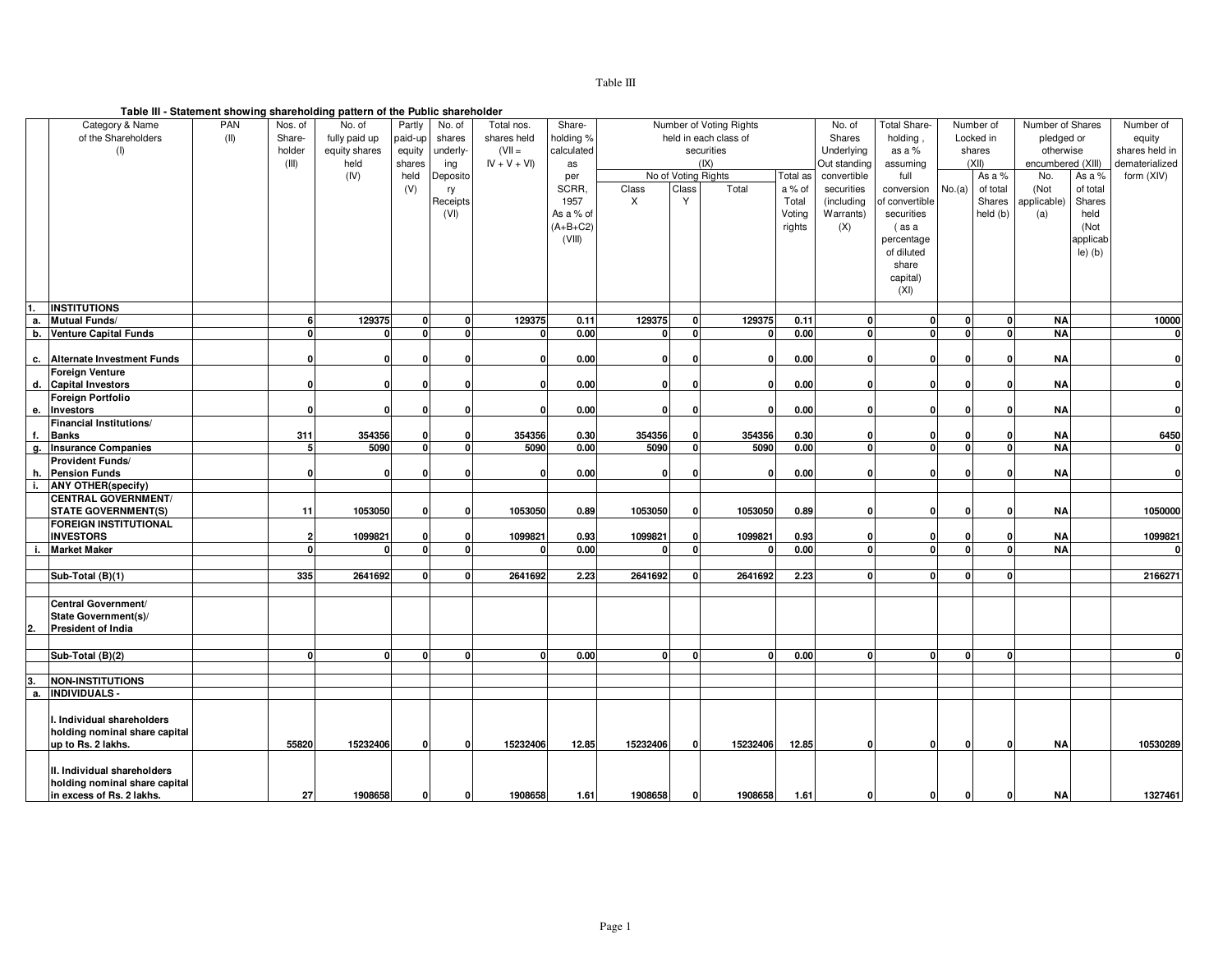# Table III

#### **Table III - Statement showing shareholding pattern of the Public shareholder**

|    |                                |      |              | rable in - Statement Showing Shareholding pattern or the Fubile Shareholder |          |              |               |            |          |              |                         |          |              |                |          |           |                   |           |                |
|----|--------------------------------|------|--------------|-----------------------------------------------------------------------------|----------|--------------|---------------|------------|----------|--------------|-------------------------|----------|--------------|----------------|----------|-----------|-------------------|-----------|----------------|
|    | Category & Name                | PAN  | Nos. of      | No. of                                                                      | Partly   | No. of       | Total nos.    | Share-     |          |              | Number of Voting Rights |          | No. of       | Total Share-   |          | Number of | Number of Shares  |           | Number of      |
|    | of the Shareholders            | (II) | Share-       | fully paid up                                                               | paid-up  | shares       | shares held   | holding %  |          |              | held in each class of   |          | Shares       | holding        |          | Locked in | pledged or        |           | equity         |
|    | (1)                            |      | holder       | equity shares                                                               | equity   | underly-     | $(VII =$      | calculated |          |              | securities              |          | Underlying   | as a $%$       |          | shares    | otherwise         |           | shares held in |
|    |                                |      | (III)        | held                                                                        | shares   | ing          | $IV + V + VI$ | as         |          |              | ( X )                   |          | Out standing | assuming       |          | (XII)     | encumbered (XIII) |           | dematerialized |
|    |                                |      |              | (IV)                                                                        | held     | Deposito     |               | per        |          |              | No of Voting Rights     | Total as | convertible  | full           |          | As a %    | No.               | As a %    | form (XIV)     |
|    |                                |      |              |                                                                             | (V)      | ry           |               | SCRR.      | Class    | Class        | Total                   | a % of   | securities   | conversion     | No.(a)   | of total  | (Not              | of total  |                |
|    |                                |      |              |                                                                             |          |              |               | 1957       | X        | Y            |                         | Total    |              |                |          | Shares    | applicable)       | Shares    |                |
|    |                                |      |              |                                                                             |          | Receipts     |               |            |          |              |                         |          | (including   | of convertible |          |           |                   |           |                |
|    |                                |      |              |                                                                             |          | (VI)         |               | As a % of  |          |              |                         | Voting   | Warrants)    | securities     |          | held (b)  | (a)               | held      |                |
|    |                                |      |              |                                                                             |          |              |               | $(A+B+C2)$ |          |              |                         | rights   | (X)          | (as a          |          |           |                   | (Not      |                |
|    |                                |      |              |                                                                             |          |              |               | (VIII)     |          |              |                         |          |              | percentage     |          |           |                   | applicab  |                |
|    |                                |      |              |                                                                             |          |              |               |            |          |              |                         |          |              | of diluted     |          |           |                   | $le)$ (b) |                |
|    |                                |      |              |                                                                             |          |              |               |            |          |              |                         |          |              | share          |          |           |                   |           |                |
|    |                                |      |              |                                                                             |          |              |               |            |          |              |                         |          |              | capital)       |          |           |                   |           |                |
|    |                                |      |              |                                                                             |          |              |               |            |          |              |                         |          |              | (XI)           |          |           |                   |           |                |
|    |                                |      |              |                                                                             |          |              |               |            |          |              |                         |          |              |                |          |           |                   |           |                |
| 1. | <b>INSTITUTIONS</b>            |      |              |                                                                             |          |              |               |            |          |              |                         |          |              |                |          |           |                   |           |                |
| а. | <b>Mutual Funds/</b>           |      | 6            | 129375                                                                      | 0        | $\mathbf{0}$ | 129375        | 0.11       | 129375   | $\mathbf{0}$ | 129375                  | 0.11     | $\mathbf{0}$ | $\mathbf{0}$   | $\Omega$ | 0         | <b>NA</b>         |           | 10000          |
|    | b. Venture Capital Funds       |      | $\Omega$     |                                                                             | $\Omega$ | $\Omega$     | $\Omega$      | 0.00       | $\Omega$ | $\Omega$     |                         | 0.00     | $\mathbf{0}$ | $\mathbf{0}$   |          | $\Omega$  | <b>NA</b>         |           | $\mathbf{0}$   |
|    |                                |      |              |                                                                             |          |              |               |            |          |              |                         |          |              |                |          |           |                   |           |                |
|    | c. Alternate Investment Funds  |      | $\mathbf 0$  | O                                                                           | O        | O            | $\Omega$      | 0.00       | 0        | O            |                         | 0.00     | 0            | $\mathbf 0$    |          | O         | <b>NA</b>         |           | $\mathbf{0}$   |
|    | <b>Foreign Venture</b>         |      |              |                                                                             |          |              |               |            |          |              |                         |          |              |                |          |           |                   |           |                |
|    | d. Capital Investors           |      | $\Omega$     | $\mathbf{0}$                                                                | n        | $\Omega$     | $\Omega$      | 0.00       | $\Omega$ | $\Omega$     | $\Omega$                | 0.00     | $\Omega$     | $\mathbf{0}$   |          |           | <b>NA</b>         |           | $\mathbf{0}$   |
|    | Foreign Portfolio              |      |              |                                                                             |          |              |               |            |          |              |                         |          |              |                |          |           |                   |           |                |
|    | e. Investors                   |      | n            | $\mathbf{0}$                                                                | O        | n            | $\Omega$      | 0.00       | $\Omega$ | $\mathbf{0}$ | 0                       | 0.00     | $\Omega$     | $\mathbf{0}$   |          |           | <b>NA</b>         |           | $\mathbf{0}$   |
|    | <b>Financial Institutions/</b> |      |              |                                                                             |          |              |               |            |          |              |                         |          |              |                |          |           |                   |           |                |
| f. | <b>Banks</b>                   |      | 311          | 354356                                                                      | o        | O            | 354356        | 0.30       | 354356   |              | 354356                  | 0.30     | O            | 0              |          |           | <b>NA</b>         |           | 6450           |
|    | g. Insurance Companies         |      | 5            | 5090                                                                        | $\Omega$ | $\Omega$     | 5090          | 0.00       | 5090     | <sup>0</sup> | 5090                    | 0.00     | $\mathbf{0}$ | $\mathbf 0$    |          | $\Omega$  | <b>NA</b>         |           | $\mathbf{0}$   |
|    | Provident Funds/               |      |              |                                                                             |          |              |               |            |          |              |                         |          |              |                |          |           |                   |           |                |
|    | h. Pension Funds               |      | n            | ſ                                                                           | n        | n            | 0             | 0.00       | O        | n            | n                       | 0.00     | O            | 0              |          |           | <b>NA</b>         |           | $\mathbf{0}$   |
| i. | <b>ANY OTHER(specify)</b>      |      |              |                                                                             |          |              |               |            |          |              |                         |          |              |                |          |           |                   |           |                |
|    | <b>CENTRAL GOVERNMENT/</b>     |      |              |                                                                             |          |              |               |            |          |              |                         |          |              |                |          |           |                   |           |                |
|    | <b>STATE GOVERNMENT(S)</b>     |      | 11           | 1053050                                                                     | n        | ŋ            | 1053050       | 0.89       | 1053050  | O            | 1053050                 | 0.89     | $\Omega$     | $\mathbf{0}$   |          |           | <b>NA</b>         |           | 1050000        |
|    | <b>FOREIGN INSTITUTIONAL</b>   |      |              |                                                                             |          |              |               |            |          |              |                         |          |              |                |          |           |                   |           |                |
|    | <b>INVESTORS</b>               |      | 2            | 1099821                                                                     | n        | O            | 1099821       | 0.93       | 1099821  | O            | 1099821                 | 0.93     | 0            | 0              |          |           | <b>NA</b>         |           | 1099821        |
| j. | <b>Market Maker</b>            |      |              |                                                                             | $\Omega$ | $\Omega$     | n             | 0.00       | n        | O            |                         | 0.00     | $\mathbf{0}$ | $\mathbf 0$    |          |           | <b>NA</b>         |           | $\mathbf{0}$   |
|    |                                |      |              |                                                                             |          |              |               |            |          |              |                         |          |              |                |          |           |                   |           |                |
|    | Sub-Total (B)(1)               |      | 335          | 2641692                                                                     |          | 0            | 2641692       | 2.23       | 2641692  | $\Omega$     | 2641692                 | 2.23     | $\mathbf{0}$ | $\mathbf{0}$   |          | $\Omega$  |                   |           | 2166271        |
|    |                                |      |              |                                                                             |          |              |               |            |          |              |                         |          |              |                |          |           |                   |           |                |
|    | Central Government/            |      |              |                                                                             |          |              |               |            |          |              |                         |          |              |                |          |           |                   |           |                |
|    | State Government(s)/           |      |              |                                                                             |          |              |               |            |          |              |                         |          |              |                |          |           |                   |           |                |
|    |                                |      |              |                                                                             |          |              |               |            |          |              |                         |          |              |                |          |           |                   |           |                |
| 2. | President of India             |      |              |                                                                             |          |              |               |            |          |              |                         |          |              |                |          |           |                   |           |                |
|    |                                |      |              |                                                                             |          |              |               |            |          |              |                         |          |              |                |          |           |                   |           |                |
|    | Sub-Total (B)(2)               |      | <sup>n</sup> |                                                                             | n        | $\Omega$     | n             | 0.00       | n        | n            | n                       | 0.00     | 0            | $\mathbf{0}$   |          |           |                   |           |                |
|    |                                |      |              |                                                                             |          |              |               |            |          |              |                         |          |              |                |          |           |                   |           |                |
|    | <b>NON-INSTITUTIONS</b>        |      |              |                                                                             |          |              |               |            |          |              |                         |          |              |                |          |           |                   |           |                |
| а. | <b>INDIVIDUALS -</b>           |      |              |                                                                             |          |              |               |            |          |              |                         |          |              |                |          |           |                   |           |                |
|    |                                |      |              |                                                                             |          |              |               |            |          |              |                         |          |              |                |          |           |                   |           |                |
|    | I. Individual shareholders     |      |              |                                                                             |          |              |               |            |          |              |                         |          |              |                |          |           |                   |           |                |
|    | holding nominal share capital  |      |              |                                                                             |          |              |               |            |          |              |                         |          |              |                |          |           |                   |           |                |
|    | up to Rs. 2 lakhs.             |      | 55820        | 15232406                                                                    | O        | $\Omega$     | 15232406      | 12.85      | 15232406 | $\mathbf{0}$ | 15232406                | 12.85    | $\Omega$     | $\mathbf{0}$   | 0        | $\Omega$  | <b>NA</b>         |           | 10530289       |
|    |                                |      |              |                                                                             |          |              |               |            |          |              |                         |          |              |                |          |           |                   |           |                |
|    | II. Individual shareholders    |      |              |                                                                             |          |              |               |            |          |              |                         |          |              |                |          |           |                   |           |                |
|    | holding nominal share capital  |      |              |                                                                             |          |              |               |            |          |              |                         |          |              |                |          |           |                   |           |                |
|    | in excess of Rs. 2 lakhs.      |      | 27           | 1908658                                                                     | $\Omega$ | 0            | 1908658       | 1.61       | 1908658  | $\Omega$     | 1908658                 | 1.61     | n            | $\mathbf 0$    | 0        | 0         | ΝA                |           | 1327461        |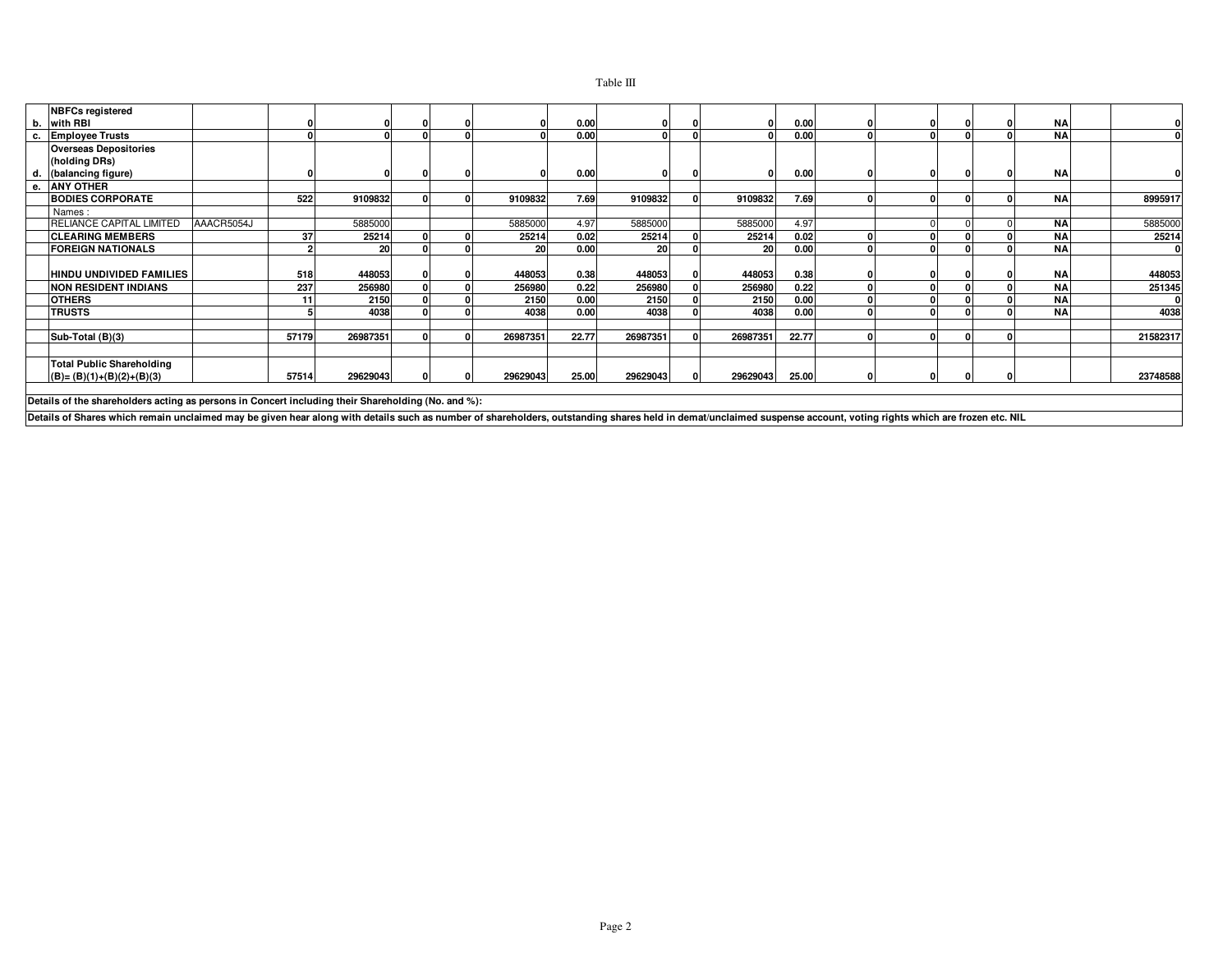|    | <b>NBFCs registered</b>                                                                            |            |       |          |  |          |       |           |   |          |       |  |    |           |          |
|----|----------------------------------------------------------------------------------------------------|------------|-------|----------|--|----------|-------|-----------|---|----------|-------|--|----|-----------|----------|
| b. | with RBI                                                                                           |            |       |          |  |          | 0.00  |           |   |          | 0.00  |  |    | <b>NA</b> |          |
| с. | <b>Employee Trusts</b>                                                                             |            |       |          |  |          | 0.00  |           |   |          | 0.00  |  |    | <b>NA</b> |          |
|    | <b>Overseas Depositories</b><br>(holding DRs)                                                      |            |       |          |  |          |       |           |   |          |       |  |    |           |          |
| d. | (balancing figure)                                                                                 |            |       |          |  |          | 0.00  |           |   |          | 0.00  |  |    | <b>NA</b> |          |
|    | e. ANY OTHER                                                                                       |            |       |          |  |          |       |           |   |          |       |  |    |           |          |
|    | <b>BODIES CORPORATE</b>                                                                            |            | 522   | 9109832  |  | 9109832  | 7.69  | 9109832   |   | 9109832  | 7.69  |  |    | <b>NA</b> | 8995917  |
|    | Names:                                                                                             |            |       |          |  |          |       |           |   |          |       |  |    |           |          |
|    | RELIANCE CAPITAL LIMITED                                                                           | AAACR5054J |       | 5885000  |  | 5885000  | 4.97  | 5885000   |   | 5885000  | 4.97  |  |    | <b>NA</b> | 5885000  |
|    | <b>CLEARING MEMBERS</b>                                                                            |            | 37    | 25214    |  | 25214    | 0.02  | 25214     |   | 25214    | 0.02  |  |    | <b>NA</b> | 25214    |
|    | <b>FOREIGN NATIONALS</b>                                                                           |            |       | 20       |  | 20       | 0.00  | <b>20</b> |   | 20       | 0.00  |  |    | <b>NA</b> |          |
|    | HINDU UNDIVIDED FAMILIES                                                                           |            | 518   | 448053   |  | 448053   | 0.38  | 448053    |   | 448053   | 0.38  |  |    | <b>NA</b> | 448053   |
|    | <b>NON RESIDENT INDIANS</b>                                                                        |            | 237   | 256980   |  | 256980   | 0.22  | 256980    |   | 256980   | 0.22  |  |    | <b>NA</b> | 251345   |
|    | <b>OTHERS</b>                                                                                      |            | 11    | 2150     |  | 2150     | 0.00  | 2150      |   | 2150     | 0.00  |  |    | <b>NA</b> |          |
|    | <b>TRUSTS</b>                                                                                      |            |       | 4038     |  | 4038     | 0.00  | 4038      |   | 4038     | 0.00  |  |    | <b>NA</b> | 4038     |
|    |                                                                                                    |            |       |          |  |          |       |           |   |          |       |  |    |           |          |
|    | Sub-Total (B)(3)                                                                                   |            | 57179 | 26987351 |  | 26987351 | 22.77 | 26987351  |   | 26987351 | 22.77 |  |    |           | 21582317 |
|    |                                                                                                    |            |       |          |  |          |       |           |   |          |       |  |    |           |          |
|    | <b>Total Public Shareholding</b>                                                                   |            |       |          |  |          |       |           |   |          |       |  |    |           |          |
|    | $(B) = (B)(1)+(B)(2)+(B)(3)$                                                                       |            | 57514 | 29629043 |  | 29629043 | 25.00 | 29629043  | n | 29629043 | 25.00 |  | ΩI |           | 23748588 |
|    |                                                                                                    |            |       |          |  |          |       |           |   |          |       |  |    |           |          |
|    | Detaile of the choushelders esting as noveme in Consent including their Choushelding (No. and 0/); |            |       |          |  |          |       |           |   |          |       |  |    |           |          |

**Details of the shareholders acting as persons in Concert including their Shareholding (No. and %):**

**Details of Shares which remain unclaimed may be given hear along with details such as number of shareholders, outstanding shares held in demat/unclaimed suspense account, voting rights which are frozen etc. NIL**